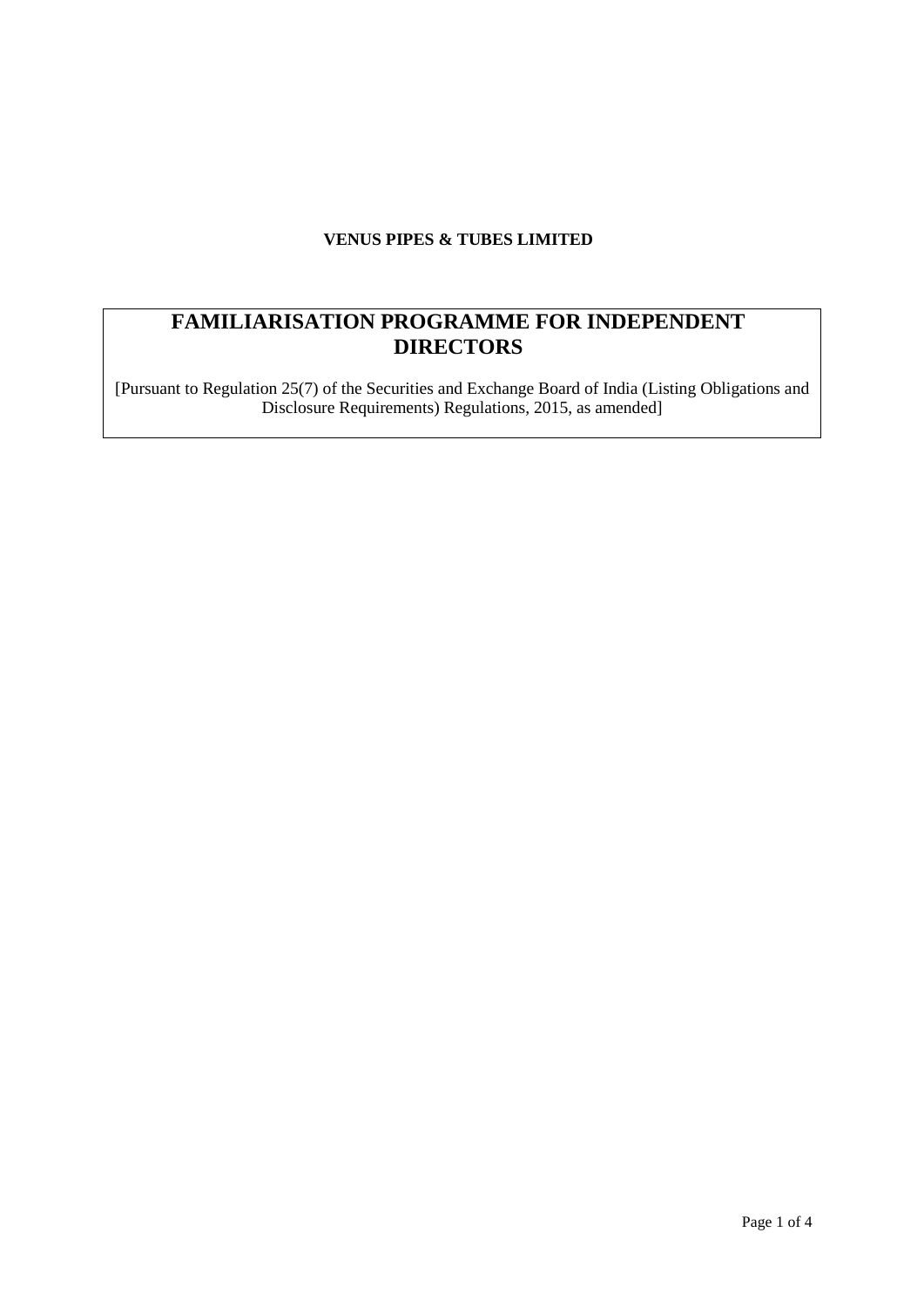# **VENUS PIPES & TUBES LIMITED**

# **FAMILIARISATION PROGRAMME FOR INDEPENDENT DIRECTORS**

[Pursuant to Regulation 25(7) of the Securities and Exchange Board of India (Listing Obligations and Disclosure Requirements) Regulations, 2015, as amended]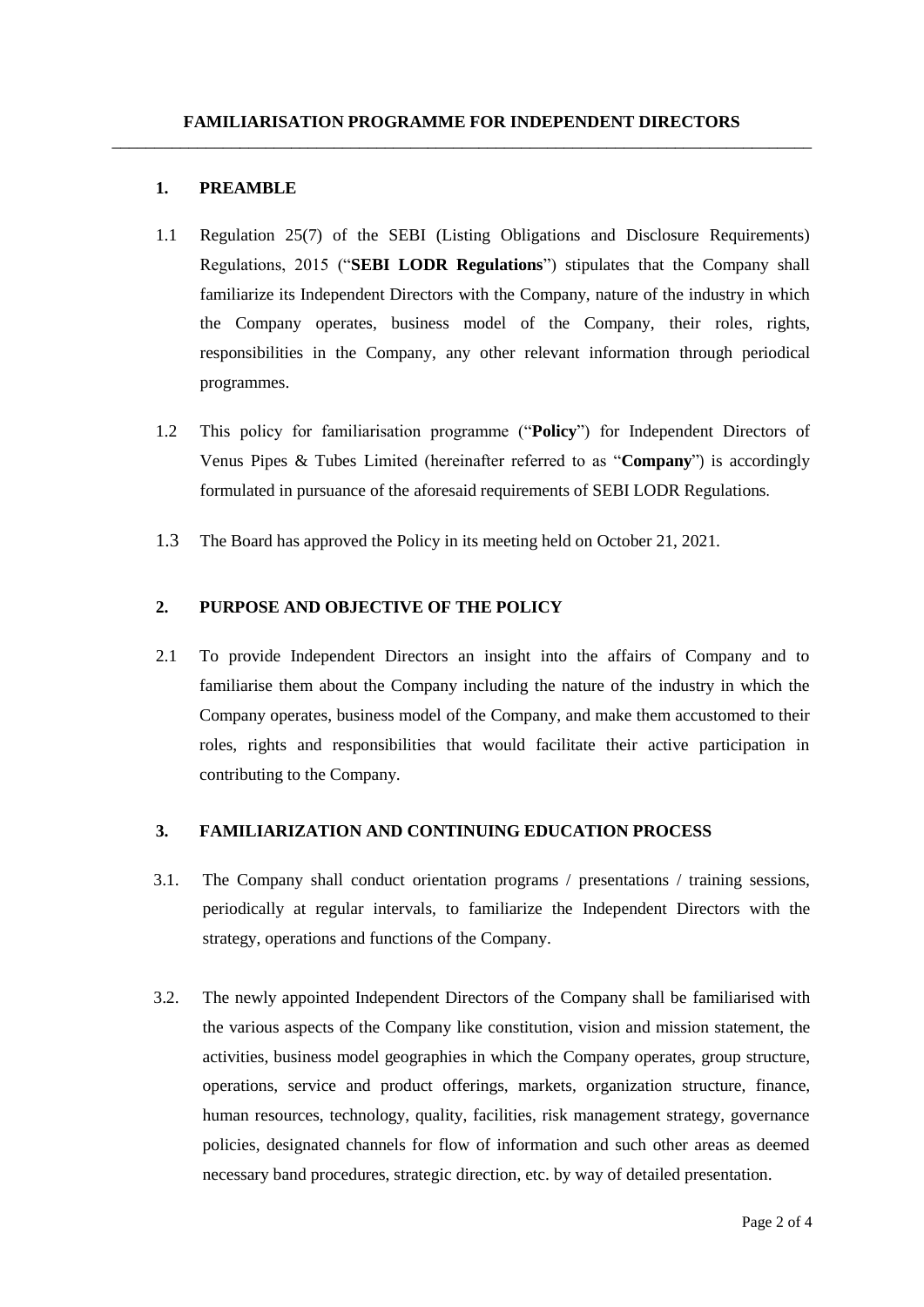#### **1. PREAMBLE**

- 1.1 Regulation 25(7) of the SEBI (Listing Obligations and Disclosure Requirements) Regulations, 2015 ("**SEBI LODR Regulations**") stipulates that the Company shall familiarize its Independent Directors with the Company, nature of the industry in which the Company operates, business model of the Company, their roles, rights, responsibilities in the Company, any other relevant information through periodical programmes.
- 1.2 This policy for familiarisation programme ("**Policy**") for Independent Directors of Venus Pipes & Tubes Limited (hereinafter referred to as "**Company**") is accordingly formulated in pursuance of the aforesaid requirements of SEBI LODR Regulations.
- 1.3 The Board has approved the Policy in its meeting held on October 21, 2021.

## **2. PURPOSE AND OBJECTIVE OF THE POLICY**

2.1 To provide Independent Directors an insight into the affairs of Company and to familiarise them about the Company including the nature of the industry in which the Company operates, business model of the Company, and make them accustomed to their roles, rights and responsibilities that would facilitate their active participation in contributing to the Company.

## **3. FAMILIARIZATION AND CONTINUING EDUCATION PROCESS**

- 3.1. The Company shall conduct orientation programs / presentations / training sessions, periodically at regular intervals, to familiarize the Independent Directors with the strategy, operations and functions of the Company.
- 3.2. The newly appointed Independent Directors of the Company shall be familiarised with the various aspects of the Company like constitution, vision and mission statement, the activities, business model geographies in which the Company operates, group structure, operations, service and product offerings, markets, organization structure, finance, human resources, technology, quality, facilities, risk management strategy, governance policies, designated channels for flow of information and such other areas as deemed necessary band procedures, strategic direction, etc. by way of detailed presentation.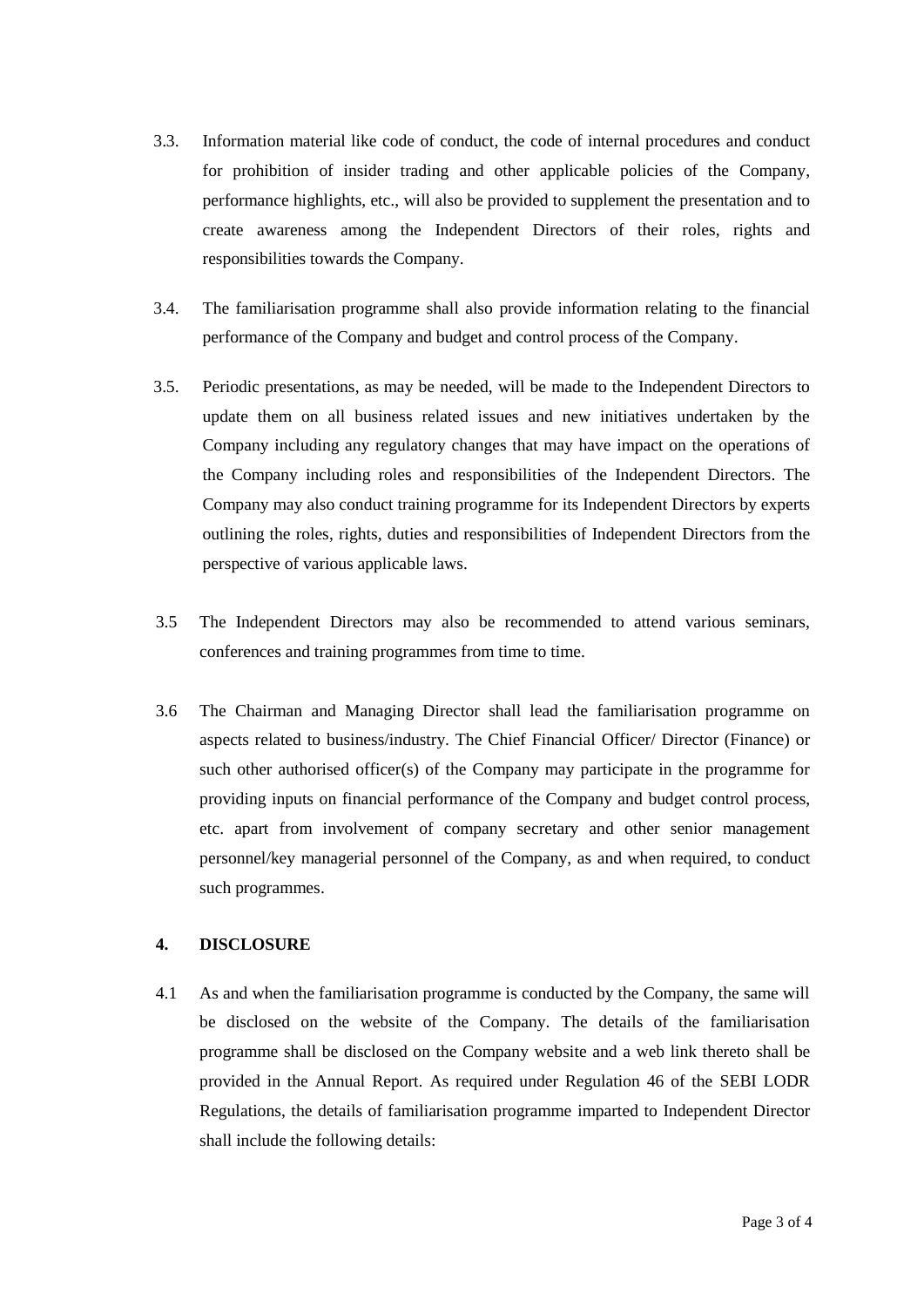- 3.3. Information material like code of conduct, the code of internal procedures and conduct for prohibition of insider trading and other applicable policies of the Company, performance highlights, etc., will also be provided to supplement the presentation and to create awareness among the Independent Directors of their roles, rights and responsibilities towards the Company.
- 3.4. The familiarisation programme shall also provide information relating to the financial performance of the Company and budget and control process of the Company.
- 3.5. Periodic presentations, as may be needed, will be made to the Independent Directors to update them on all business related issues and new initiatives undertaken by the Company including any regulatory changes that may have impact on the operations of the Company including roles and responsibilities of the Independent Directors. The Company may also conduct training programme for its Independent Directors by experts outlining the roles, rights, duties and responsibilities of Independent Directors from the perspective of various applicable laws.
- 3.5 The Independent Directors may also be recommended to attend various seminars, conferences and training programmes from time to time.
- 3.6 The Chairman and Managing Director shall lead the familiarisation programme on aspects related to business/industry. The Chief Financial Officer/ Director (Finance) or such other authorised officer(s) of the Company may participate in the programme for providing inputs on financial performance of the Company and budget control process, etc. apart from involvement of company secretary and other senior management personnel/key managerial personnel of the Company, as and when required, to conduct such programmes.

#### **4. DISCLOSURE**

4.1 As and when the familiarisation programme is conducted by the Company, the same will be disclosed on the website of the Company. The details of the familiarisation programme shall be disclosed on the Company website and a web link thereto shall be provided in the Annual Report. As required under Regulation 46 of the SEBI LODR Regulations, the details of familiarisation programme imparted to Independent Director shall include the following details: